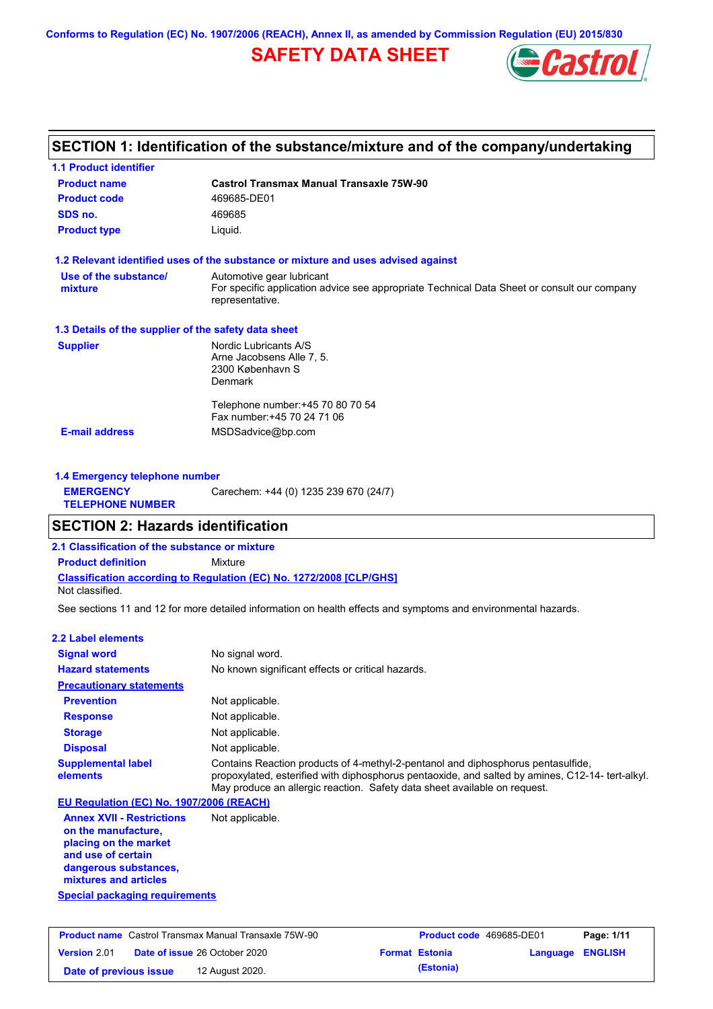**Conforms to Regulation (EC) No. 1907/2006 (REACH), Annex II, as amended by Commission Regulation (EU) 2015/830**

# **SAFETY DATA SHEET**



# **SECTION 1: Identification of the substance/mixture and of the company/undertaking**

| <b>1.1 Product identifier</b>                        |                                                                                                                |
|------------------------------------------------------|----------------------------------------------------------------------------------------------------------------|
| <b>Product name</b>                                  | <b>Castrol Transmax Manual Transaxle 75W-90</b>                                                                |
| <b>Product code</b>                                  | 469685-DE01                                                                                                    |
| SDS no.                                              | 469685                                                                                                         |
| <b>Product type</b>                                  | Liquid.                                                                                                        |
|                                                      | 1.2 Relevant identified uses of the substance or mixture and uses advised against                              |
| Use of the substance/                                | Automotive gear lubricant                                                                                      |
| mixture                                              | For specific application advice see appropriate Technical Data Sheet or consult our company<br>representative. |
| 1.3 Details of the supplier of the safety data sheet |                                                                                                                |
| <b>Supplier</b>                                      | Nordic Lubricants A/S                                                                                          |
|                                                      | Arne Jacobsens Alle 7, 5.                                                                                      |
|                                                      | 2300 København S                                                                                               |
|                                                      | <b>Denmark</b>                                                                                                 |
|                                                      | Telephone number: +45 70 80 70 54                                                                              |
|                                                      | Fax number: +45 70 24 71 06                                                                                    |
| <b>E-mail address</b>                                | MSDSadvice@bp.com                                                                                              |
|                                                      |                                                                                                                |
|                                                      |                                                                                                                |

|                                             | 1.4 Emergency telephone number        |  |  |  |
|---------------------------------------------|---------------------------------------|--|--|--|
| <b>EMERGENCY</b><br><b>TELEPHONE NUMBER</b> | Carechem: +44 (0) 1235 239 670 (24/7) |  |  |  |

# **SECTION 2: Hazards identification**

**2.1 Classification of the substance or mixture**

**Classification according to Regulation (EC) No. 1272/2008 [CLP/GHS] Product definition** Mixture

Not classified.

See sections 11 and 12 for more detailed information on health effects and symptoms and environmental hazards.

#### **2.2 Label elements**

| <b>Signal word</b>                                                                                                                                       | No signal word.                                                                                                                                                                                                                                                   |
|----------------------------------------------------------------------------------------------------------------------------------------------------------|-------------------------------------------------------------------------------------------------------------------------------------------------------------------------------------------------------------------------------------------------------------------|
| <b>Hazard statements</b>                                                                                                                                 | No known significant effects or critical hazards.                                                                                                                                                                                                                 |
| <b>Precautionary statements</b>                                                                                                                          |                                                                                                                                                                                                                                                                   |
| <b>Prevention</b>                                                                                                                                        | Not applicable.                                                                                                                                                                                                                                                   |
| <b>Response</b>                                                                                                                                          | Not applicable.                                                                                                                                                                                                                                                   |
| <b>Storage</b>                                                                                                                                           | Not applicable.                                                                                                                                                                                                                                                   |
| <b>Disposal</b>                                                                                                                                          | Not applicable.                                                                                                                                                                                                                                                   |
| <b>Supplemental label</b><br>elements                                                                                                                    | Contains Reaction products of 4-methyl-2-pentanol and diphosphorus pentasulfide,<br>propoxylated, esterified with diphosphorus pentaoxide, and salted by amines, C12-14- tert-alkyl.<br>May produce an allergic reaction. Safety data sheet available on request. |
| EU Regulation (EC) No. 1907/2006 (REACH)                                                                                                                 |                                                                                                                                                                                                                                                                   |
| <b>Annex XVII - Restrictions</b><br>on the manufacture.<br>placing on the market<br>and use of certain<br>dangerous substances,<br>mixtures and articles | Not applicable.                                                                                                                                                                                                                                                   |
| <b>Special packaging requirements</b>                                                                                                                    |                                                                                                                                                                                                                                                                   |

| <b>Product name</b> Castrol Transmax Manual Transaxle 75W-90 |  | <b>Product code</b> 469685-DE01 |                  | Page: 1/11 |
|--------------------------------------------------------------|--|---------------------------------|------------------|------------|
| <b>Date of issue 26 October 2020</b><br><b>Version</b> 2.01  |  | <b>Format Estonia</b>           | Language ENGLISH |            |
| 12 August 2020.<br>Date of previous issue                    |  | (Estonia)                       |                  |            |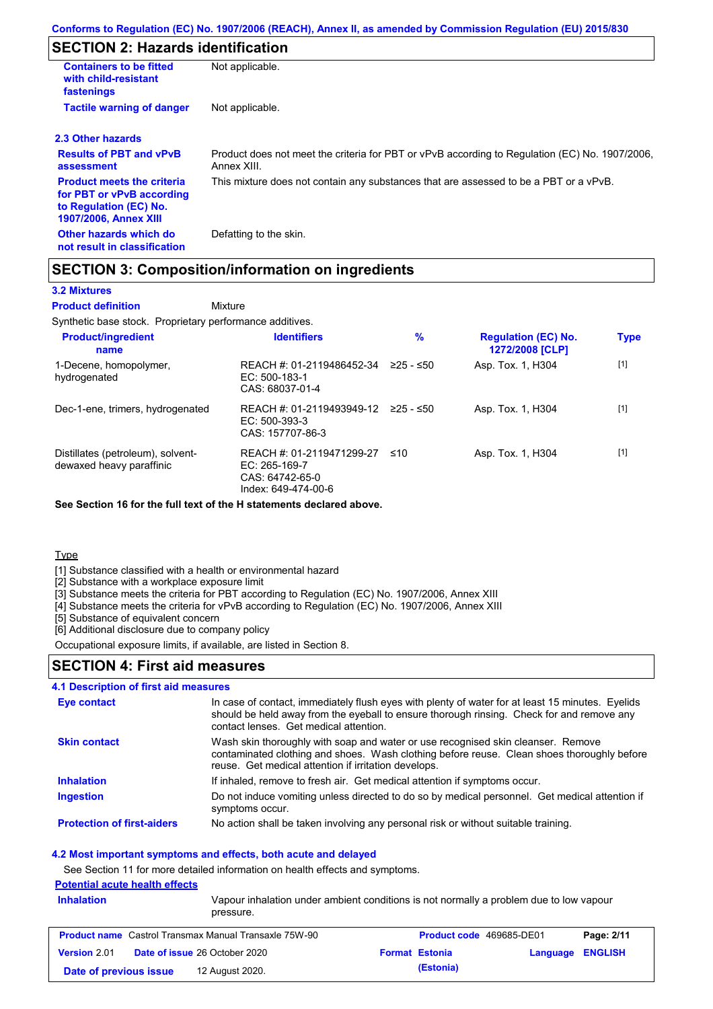# **SECTION 2: Hazards identification**

| <b>Containers to be fitted</b><br>with child-resistant<br>fastenings                                                     | Not applicable.                                                                                               |
|--------------------------------------------------------------------------------------------------------------------------|---------------------------------------------------------------------------------------------------------------|
| <b>Tactile warning of danger</b>                                                                                         | Not applicable.                                                                                               |
| 2.3 Other hazards                                                                                                        |                                                                                                               |
| <b>Results of PBT and vPvB</b><br>assessment                                                                             | Product does not meet the criteria for PBT or vPvB according to Regulation (EC) No. 1907/2006,<br>Annex XIII. |
| <b>Product meets the criteria</b><br>for PBT or vPvB according<br>to Regulation (EC) No.<br><b>1907/2006, Annex XIII</b> | This mixture does not contain any substances that are assessed to be a PBT or a vPvB.                         |
| Other hazards which do<br>not result in classification                                                                   | Defatting to the skin.                                                                                        |

# **SECTION 3: Composition/information on ingredients**

### **3.2 Mixtures**

Mixture **Product definition**

Synthetic base stock. Proprietary performance additives.

| <b>Product/ingredient</b><br>name                             | <b>Identifiers</b>                                                                   | $\%$      | <b>Regulation (EC) No.</b><br>1272/2008 [CLP] | <b>Type</b> |
|---------------------------------------------------------------|--------------------------------------------------------------------------------------|-----------|-----------------------------------------------|-------------|
| 1-Decene, homopolymer,<br>hydrogenated                        | REACH #: 01-2119486452-34<br>EC: 500-183-1<br>CAS: 68037-01-4                        | 225 - ≤50 | Asp. Tox. 1, H304                             | $[1]$       |
| Dec-1-ene, trimers, hydrogenated                              | REACH #: 01-2119493949-12<br>$EC: 500-393-3$<br>CAS: 157707-86-3                     | 225 - ≤50 | Asp. Tox. 1, H304                             | $[1]$       |
| Distillates (petroleum), solvent-<br>dewaxed heavy paraffinic | REACH #: 01-2119471299-27<br>EC: 265-169-7<br>CAS: 64742-65-0<br>Index: 649-474-00-6 | ≤10       | Asp. Tox. 1, H304                             | $[1]$       |

**See Section 16 for the full text of the H statements declared above.**

Type

[1] Substance classified with a health or environmental hazard

[2] Substance with a workplace exposure limit

[3] Substance meets the criteria for PBT according to Regulation (EC) No. 1907/2006, Annex XIII

[4] Substance meets the criteria for vPvB according to Regulation (EC) No. 1907/2006, Annex XIII

[5] Substance of equivalent concern

[6] Additional disclosure due to company policy

Occupational exposure limits, if available, are listed in Section 8.

### **SECTION 4: First aid measures**

### **4.1 Description of first aid measures**

| Eye contact                       | In case of contact, immediately flush eyes with plenty of water for at least 15 minutes. Eyelids<br>should be held away from the eyeball to ensure thorough rinsing. Check for and remove any<br>contact lenses. Get medical attention. |
|-----------------------------------|-----------------------------------------------------------------------------------------------------------------------------------------------------------------------------------------------------------------------------------------|
| <b>Skin contact</b>               | Wash skin thoroughly with soap and water or use recognised skin cleanser. Remove<br>contaminated clothing and shoes. Wash clothing before reuse. Clean shoes thoroughly before<br>reuse. Get medical attention if irritation develops.  |
| <b>Inhalation</b>                 | If inhaled, remove to fresh air. Get medical attention if symptoms occur.                                                                                                                                                               |
| <b>Ingestion</b>                  | Do not induce vomiting unless directed to do so by medical personnel. Get medical attention if<br>symptoms occur.                                                                                                                       |
| <b>Protection of first-aiders</b> | No action shall be taken involving any personal risk or without suitable training.                                                                                                                                                      |

#### **4.2 Most important symptoms and effects, both acute and delayed**

See Section 11 for more detailed information on health effects and symptoms.

## **Potential acute health effects**

| <b>Inhalation</b>      | pressure.                                                    | <u>I Olgilliai acult Ilgailli Gilgcis</u><br>Vapour inhalation under ambient conditions is not normally a problem due to low vapour |                                 |                         |  |  |
|------------------------|--------------------------------------------------------------|-------------------------------------------------------------------------------------------------------------------------------------|---------------------------------|-------------------------|--|--|
|                        | <b>Product name</b> Castrol Transmax Manual Transaxle 75W-90 |                                                                                                                                     | <b>Product code</b> 469685-DE01 | Page: 2/11              |  |  |
| Version 2.01           | <b>Date of issue 26 October 2020</b>                         | <b>Format Estonia</b>                                                                                                               |                                 | <b>Language ENGLISH</b> |  |  |
| Date of previous issue | 12 August 2020.                                              | (Estonia)                                                                                                                           |                                 |                         |  |  |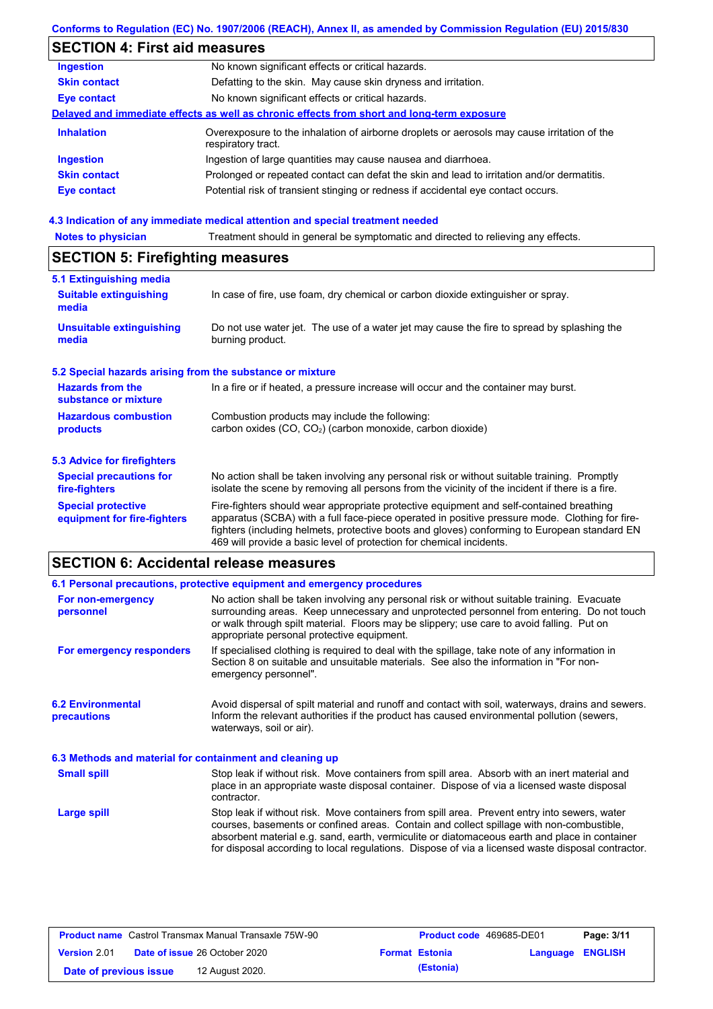### **Conforms to Regulation (EC) No. 1907/2006 (REACH), Annex II, as amended by Commission Regulation (EU) 2015/830**

# **SECTION 4: First aid measures**

| <b>Ingestion</b>    | No known significant effects or critical hazards.                                                                 |
|---------------------|-------------------------------------------------------------------------------------------------------------------|
| <b>Skin contact</b> | Defatting to the skin. May cause skin dryness and irritation.                                                     |
| <b>Eye contact</b>  | No known significant effects or critical hazards.                                                                 |
|                     | Delayed and immediate effects as well as chronic effects from short and long-term exposure                        |
| <b>Inhalation</b>   | Overexposure to the inhalation of airborne droplets or aerosols may cause irritation of the<br>respiratory tract. |
| <b>Ingestion</b>    | Ingestion of large quantities may cause nausea and diarrhoea.                                                     |
| <b>Skin contact</b> | Prolonged or repeated contact can defat the skin and lead to irritation and/or dermatitis.                        |
| <b>Eye contact</b>  | Potential risk of transient stinging or redness if accidental eye contact occurs.                                 |
|                     |                                                                                                                   |

# **4.3 Indication of any immediate medical attention and special treatment needed<br>Notes to physician** Treatment should in general be symptomatic and directed to relieving

| Treatment should in general be symptomatic and directed to relieving any effects.<br><b>Notes to physician</b> |                                                                                                                                                                                                                                                                                                                                                                   |  |  |  |
|----------------------------------------------------------------------------------------------------------------|-------------------------------------------------------------------------------------------------------------------------------------------------------------------------------------------------------------------------------------------------------------------------------------------------------------------------------------------------------------------|--|--|--|
| <b>SECTION 5: Firefighting measures</b>                                                                        |                                                                                                                                                                                                                                                                                                                                                                   |  |  |  |
| 5.1 Extinguishing media                                                                                        |                                                                                                                                                                                                                                                                                                                                                                   |  |  |  |
| <b>Suitable extinguishing</b><br>media                                                                         | In case of fire, use foam, dry chemical or carbon dioxide extinguisher or spray.                                                                                                                                                                                                                                                                                  |  |  |  |
| <b>Unsuitable extinguishing</b><br>media                                                                       | Do not use water jet. The use of a water jet may cause the fire to spread by splashing the<br>burning product.                                                                                                                                                                                                                                                    |  |  |  |
| 5.2 Special hazards arising from the substance or mixture                                                      |                                                                                                                                                                                                                                                                                                                                                                   |  |  |  |
| <b>Hazards from the</b><br>substance or mixture                                                                | In a fire or if heated, a pressure increase will occur and the container may burst.                                                                                                                                                                                                                                                                               |  |  |  |
| <b>Hazardous combustion</b><br>products                                                                        | Combustion products may include the following:<br>carbon oxides (CO, CO <sub>2</sub> ) (carbon monoxide, carbon dioxide)                                                                                                                                                                                                                                          |  |  |  |
| 5.3 Advice for firefighters                                                                                    |                                                                                                                                                                                                                                                                                                                                                                   |  |  |  |
| <b>Special precautions for</b><br>fire-fighters                                                                | No action shall be taken involving any personal risk or without suitable training. Promptly<br>isolate the scene by removing all persons from the vicinity of the incident if there is a fire.                                                                                                                                                                    |  |  |  |
| <b>Special protective</b><br>equipment for fire-fighters                                                       | Fire-fighters should wear appropriate protective equipment and self-contained breathing<br>apparatus (SCBA) with a full face-piece operated in positive pressure mode. Clothing for fire-<br>fighters (including helmets, protective boots and gloves) conforming to European standard EN<br>469 will provide a basic level of protection for chemical incidents. |  |  |  |

# **SECTION 6: Accidental release measures**

|                                                          | 6.1 Personal precautions, protective equipment and emergency procedures                                                                                                                                                                                                                                                                                                                        |
|----------------------------------------------------------|------------------------------------------------------------------------------------------------------------------------------------------------------------------------------------------------------------------------------------------------------------------------------------------------------------------------------------------------------------------------------------------------|
| For non-emergency<br>personnel                           | No action shall be taken involving any personal risk or without suitable training. Evacuate<br>surrounding areas. Keep unnecessary and unprotected personnel from entering. Do not touch<br>or walk through spilt material. Floors may be slippery; use care to avoid falling. Put on<br>appropriate personal protective equipment.                                                            |
| For emergency responders                                 | If specialised clothing is required to deal with the spillage, take note of any information in<br>Section 8 on suitable and unsuitable materials. See also the information in "For non-<br>emergency personnel".                                                                                                                                                                               |
| <b>6.2 Environmental</b><br>precautions                  | Avoid dispersal of spilt material and runoff and contact with soil, waterways, drains and sewers.<br>Inform the relevant authorities if the product has caused environmental pollution (sewers,<br>waterways, soil or air).                                                                                                                                                                    |
| 6.3 Methods and material for containment and cleaning up |                                                                                                                                                                                                                                                                                                                                                                                                |
| <b>Small spill</b>                                       | Stop leak if without risk. Move containers from spill area. Absorb with an inert material and<br>place in an appropriate waste disposal container. Dispose of via a licensed waste disposal<br>contractor.                                                                                                                                                                                     |
| Large spill                                              | Stop leak if without risk. Move containers from spill area. Prevent entry into sewers, water<br>courses, basements or confined areas. Contain and collect spillage with non-combustible.<br>absorbent material e.g. sand, earth, vermiculite or diatomaceous earth and place in container<br>for disposal according to local regulations. Dispose of via a licensed waste disposal contractor. |

| <b>Product name</b> Castrol Transmax Manual Transaxle 75W-90 |  |                                      | Product code 469685-DE01 |                       | Page: 3/11              |  |
|--------------------------------------------------------------|--|--------------------------------------|--------------------------|-----------------------|-------------------------|--|
| Version 2.01                                                 |  | <b>Date of issue 26 October 2020</b> |                          | <b>Format Estonia</b> | <b>Language ENGLISH</b> |  |
| Date of previous issue                                       |  | 12 August 2020.                      |                          | (Estonia)             |                         |  |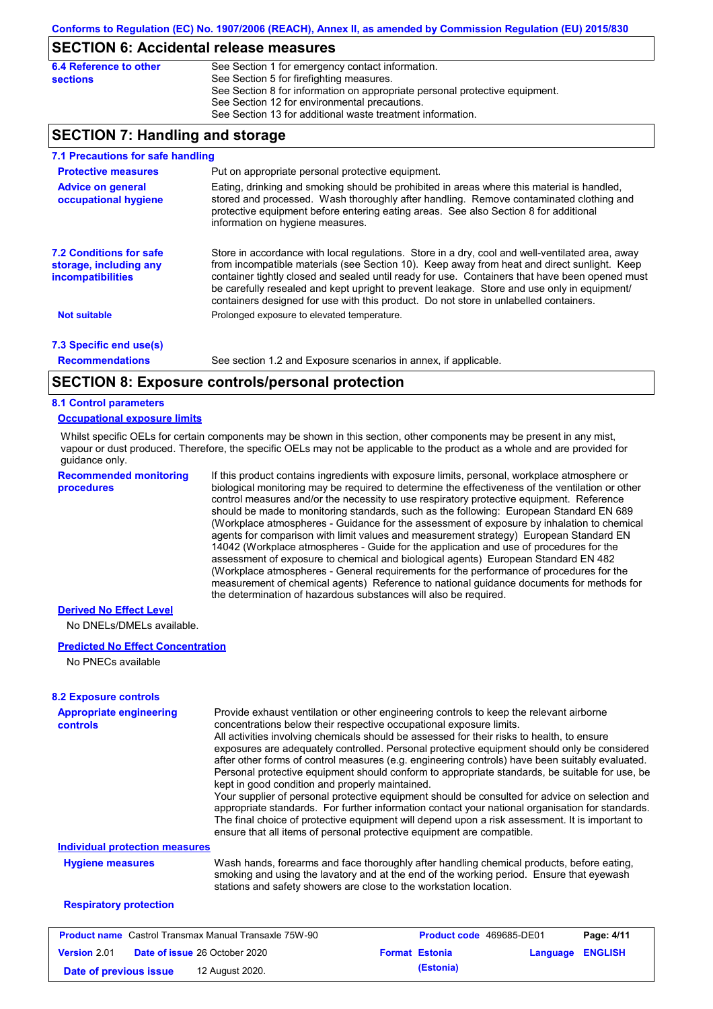### **SECTION 6: Accidental release measures**

| 6.4 Reference to other | See Section 1 for emergency contact information.                            |
|------------------------|-----------------------------------------------------------------------------|
| sections               | See Section 5 for firefighting measures.                                    |
|                        | See Section 8 for information on appropriate personal protective equipment. |
|                        | See Section 12 for environmental precautions.                               |
|                        | See Section 13 for additional waste treatment information.                  |

## **SECTION 7: Handling and storage**

| 7.1 Precautions for safe handling                                                    |                                                                                                                                                                                                                                                                                                                                                                                                                                                                                          |
|--------------------------------------------------------------------------------------|------------------------------------------------------------------------------------------------------------------------------------------------------------------------------------------------------------------------------------------------------------------------------------------------------------------------------------------------------------------------------------------------------------------------------------------------------------------------------------------|
| <b>Protective measures</b>                                                           | Put on appropriate personal protective equipment.                                                                                                                                                                                                                                                                                                                                                                                                                                        |
| <b>Advice on general</b><br>occupational hygiene                                     | Eating, drinking and smoking should be prohibited in areas where this material is handled,<br>stored and processed. Wash thoroughly after handling. Remove contaminated clothing and<br>protective equipment before entering eating areas. See also Section 8 for additional<br>information on hygiene measures.                                                                                                                                                                         |
| <b>7.2 Conditions for safe</b><br>storage, including any<br><i>incompatibilities</i> | Store in accordance with local regulations. Store in a dry, cool and well-ventilated area, away<br>from incompatible materials (see Section 10). Keep away from heat and direct sunlight. Keep<br>container tightly closed and sealed until ready for use. Containers that have been opened must<br>be carefully resealed and kept upright to prevent leakage. Store and use only in equipment/<br>containers designed for use with this product. Do not store in unlabelled containers. |
| <b>Not suitable</b>                                                                  | Prolonged exposure to elevated temperature.                                                                                                                                                                                                                                                                                                                                                                                                                                              |
| 7.3 Specific end use(s)                                                              |                                                                                                                                                                                                                                                                                                                                                                                                                                                                                          |
| <b>Recommendations</b>                                                               | See section 1.2 and Exposure scenarios in annex, if applicable.                                                                                                                                                                                                                                                                                                                                                                                                                          |
|                                                                                      | CECTICH 0. Evening controlate and probable attack                                                                                                                                                                                                                                                                                                                                                                                                                                        |

### **SECTION 8: Exposure controls/personal protection**

#### **8.1 Control parameters**

#### **Occupational exposure limits**

Whilst specific OELs for certain components may be shown in this section, other components may be present in any mist, vapour or dust produced. Therefore, the specific OELs may not be applicable to the product as a whole and are provided for guidance only.

**Recommended monitoring procedures**

If this product contains ingredients with exposure limits, personal, workplace atmosphere or biological monitoring may be required to determine the effectiveness of the ventilation or other control measures and/or the necessity to use respiratory protective equipment. Reference should be made to monitoring standards, such as the following: European Standard EN 689 (Workplace atmospheres - Guidance for the assessment of exposure by inhalation to chemical agents for comparison with limit values and measurement strategy) European Standard EN 14042 (Workplace atmospheres - Guide for the application and use of procedures for the assessment of exposure to chemical and biological agents) European Standard EN 482 (Workplace atmospheres - General requirements for the performance of procedures for the measurement of chemical agents) Reference to national guidance documents for methods for the determination of hazardous substances will also be required.

### **Derived No Effect Level**

No DNELs/DMELs available.

#### **Predicted No Effect Concentration**

No PNECs available

| <b>Appropriate engineering</b><br><b>controls</b>            | Provide exhaust ventilation or other engineering controls to keep the relevant airborne<br>concentrations below their respective occupational exposure limits.<br>All activities involving chemicals should be assessed for their risks to health, to ensure<br>exposures are adequately controlled. Personal protective equipment should only be considered<br>after other forms of control measures (e.g. engineering controls) have been suitably evaluated.<br>Personal protective equipment should conform to appropriate standards, be suitable for use, be<br>kept in good condition and properly maintained.<br>Your supplier of personal protective equipment should be consulted for advice on selection and<br>appropriate standards. For further information contact your national organisation for standards.<br>The final choice of protective equipment will depend upon a risk assessment. It is important to<br>ensure that all items of personal protective equipment are compatible. |                                 |          |                |
|--------------------------------------------------------------|---------------------------------------------------------------------------------------------------------------------------------------------------------------------------------------------------------------------------------------------------------------------------------------------------------------------------------------------------------------------------------------------------------------------------------------------------------------------------------------------------------------------------------------------------------------------------------------------------------------------------------------------------------------------------------------------------------------------------------------------------------------------------------------------------------------------------------------------------------------------------------------------------------------------------------------------------------------------------------------------------------|---------------------------------|----------|----------------|
| <b>Individual protection measures</b>                        |                                                                                                                                                                                                                                                                                                                                                                                                                                                                                                                                                                                                                                                                                                                                                                                                                                                                                                                                                                                                         |                                 |          |                |
| <b>Hygiene measures</b>                                      | Wash hands, forearms and face thoroughly after handling chemical products, before eating,<br>smoking and using the lavatory and at the end of the working period. Ensure that eyewash<br>stations and safety showers are close to the workstation location.                                                                                                                                                                                                                                                                                                                                                                                                                                                                                                                                                                                                                                                                                                                                             |                                 |          |                |
| <b>Respiratory protection</b>                                |                                                                                                                                                                                                                                                                                                                                                                                                                                                                                                                                                                                                                                                                                                                                                                                                                                                                                                                                                                                                         |                                 |          |                |
| <b>Product name</b> Castrol Transmax Manual Transaxle 75W-90 |                                                                                                                                                                                                                                                                                                                                                                                                                                                                                                                                                                                                                                                                                                                                                                                                                                                                                                                                                                                                         | <b>Product code</b> 469685-DE01 |          | Page: 4/11     |
| <b>Version 2.01</b>                                          | <b>Date of issue 26 October 2020</b>                                                                                                                                                                                                                                                                                                                                                                                                                                                                                                                                                                                                                                                                                                                                                                                                                                                                                                                                                                    | <b>Format Estonia</b>           | Language | <b>ENGLISH</b> |

**Date of previous issue (Estonia)** 12 August 2020.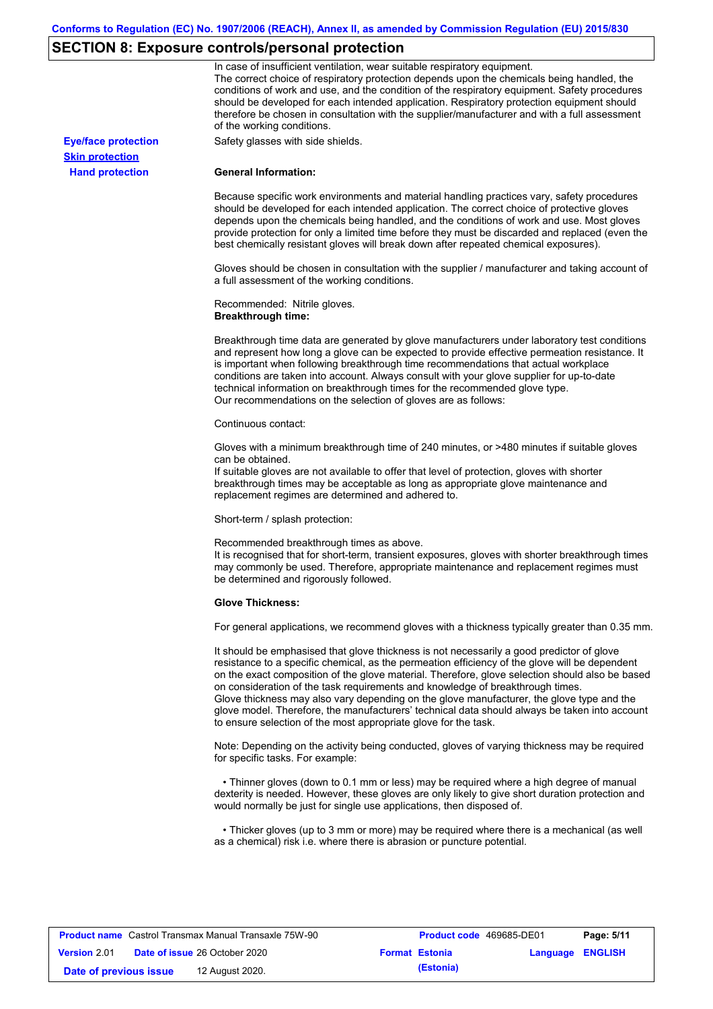# **SECTION 8: Exposure controls/personal protection**

|                            | In case of insufficient ventilation, wear suitable respiratory equipment.<br>The correct choice of respiratory protection depends upon the chemicals being handled, the<br>conditions of work and use, and the condition of the respiratory equipment. Safety procedures<br>should be developed for each intended application. Respiratory protection equipment should<br>therefore be chosen in consultation with the supplier/manufacturer and with a full assessment<br>of the working conditions.                                                                                                                                             |
|----------------------------|---------------------------------------------------------------------------------------------------------------------------------------------------------------------------------------------------------------------------------------------------------------------------------------------------------------------------------------------------------------------------------------------------------------------------------------------------------------------------------------------------------------------------------------------------------------------------------------------------------------------------------------------------|
| <b>Eye/face protection</b> | Safety glasses with side shields.                                                                                                                                                                                                                                                                                                                                                                                                                                                                                                                                                                                                                 |
| <b>Skin protection</b>     |                                                                                                                                                                                                                                                                                                                                                                                                                                                                                                                                                                                                                                                   |
| <b>Hand protection</b>     | <b>General Information:</b>                                                                                                                                                                                                                                                                                                                                                                                                                                                                                                                                                                                                                       |
|                            | Because specific work environments and material handling practices vary, safety procedures<br>should be developed for each intended application. The correct choice of protective gloves<br>depends upon the chemicals being handled, and the conditions of work and use. Most gloves<br>provide protection for only a limited time before they must be discarded and replaced (even the<br>best chemically resistant gloves will break down after repeated chemical exposures).                                                                                                                                                                  |
|                            | Gloves should be chosen in consultation with the supplier / manufacturer and taking account of<br>a full assessment of the working conditions.                                                                                                                                                                                                                                                                                                                                                                                                                                                                                                    |
|                            | Recommended: Nitrile gloves.<br><b>Breakthrough time:</b>                                                                                                                                                                                                                                                                                                                                                                                                                                                                                                                                                                                         |
|                            | Breakthrough time data are generated by glove manufacturers under laboratory test conditions<br>and represent how long a glove can be expected to provide effective permeation resistance. It<br>is important when following breakthrough time recommendations that actual workplace<br>conditions are taken into account. Always consult with your glove supplier for up-to-date<br>technical information on breakthrough times for the recommended glove type.<br>Our recommendations on the selection of gloves are as follows:                                                                                                                |
|                            | Continuous contact:                                                                                                                                                                                                                                                                                                                                                                                                                                                                                                                                                                                                                               |
|                            | Gloves with a minimum breakthrough time of 240 minutes, or >480 minutes if suitable gloves<br>can be obtained.<br>If suitable gloves are not available to offer that level of protection, gloves with shorter<br>breakthrough times may be acceptable as long as appropriate glove maintenance and<br>replacement regimes are determined and adhered to.                                                                                                                                                                                                                                                                                          |
|                            | Short-term / splash protection:                                                                                                                                                                                                                                                                                                                                                                                                                                                                                                                                                                                                                   |
|                            | Recommended breakthrough times as above.<br>It is recognised that for short-term, transient exposures, gloves with shorter breakthrough times<br>may commonly be used. Therefore, appropriate maintenance and replacement regimes must<br>be determined and rigorously followed.                                                                                                                                                                                                                                                                                                                                                                  |
|                            | <b>Glove Thickness:</b>                                                                                                                                                                                                                                                                                                                                                                                                                                                                                                                                                                                                                           |
|                            | For general applications, we recommend gloves with a thickness typically greater than 0.35 mm.                                                                                                                                                                                                                                                                                                                                                                                                                                                                                                                                                    |
|                            | It should be emphasised that glove thickness is not necessarily a good predictor of glove<br>resistance to a specific chemical, as the permeation efficiency of the glove will be dependent<br>on the exact composition of the glove material. Therefore, glove selection should also be based<br>on consideration of the task requirements and knowledge of breakthrough times.<br>Glove thickness may also vary depending on the glove manufacturer, the glove type and the<br>glove model. Therefore, the manufacturers' technical data should always be taken into account<br>to ensure selection of the most appropriate glove for the task. |
|                            | Note: Depending on the activity being conducted, gloves of varying thickness may be required<br>for specific tasks. For example:                                                                                                                                                                                                                                                                                                                                                                                                                                                                                                                  |
|                            | • Thinner gloves (down to 0.1 mm or less) may be required where a high degree of manual<br>dexterity is needed. However, these gloves are only likely to give short duration protection and<br>would normally be just for single use applications, then disposed of.                                                                                                                                                                                                                                                                                                                                                                              |
|                            | • Thicker gloves (up to 3 mm or more) may be required where there is a mechanical (as well<br>as a chemical) risk i.e. where there is abrasion or puncture potential.                                                                                                                                                                                                                                                                                                                                                                                                                                                                             |

| <b>Product name</b> Castrol Transmax Manual Transaxle 75W-90 |  |                                      | <b>Product code</b> 469685-DE01 |                       | Page: 5/11              |  |
|--------------------------------------------------------------|--|--------------------------------------|---------------------------------|-----------------------|-------------------------|--|
| <b>Version 2.01</b>                                          |  | <b>Date of issue 26 October 2020</b> |                                 | <b>Format Estonia</b> | <b>Language ENGLISH</b> |  |
| Date of previous issue                                       |  | 12 August 2020.                      |                                 | (Estonia)             |                         |  |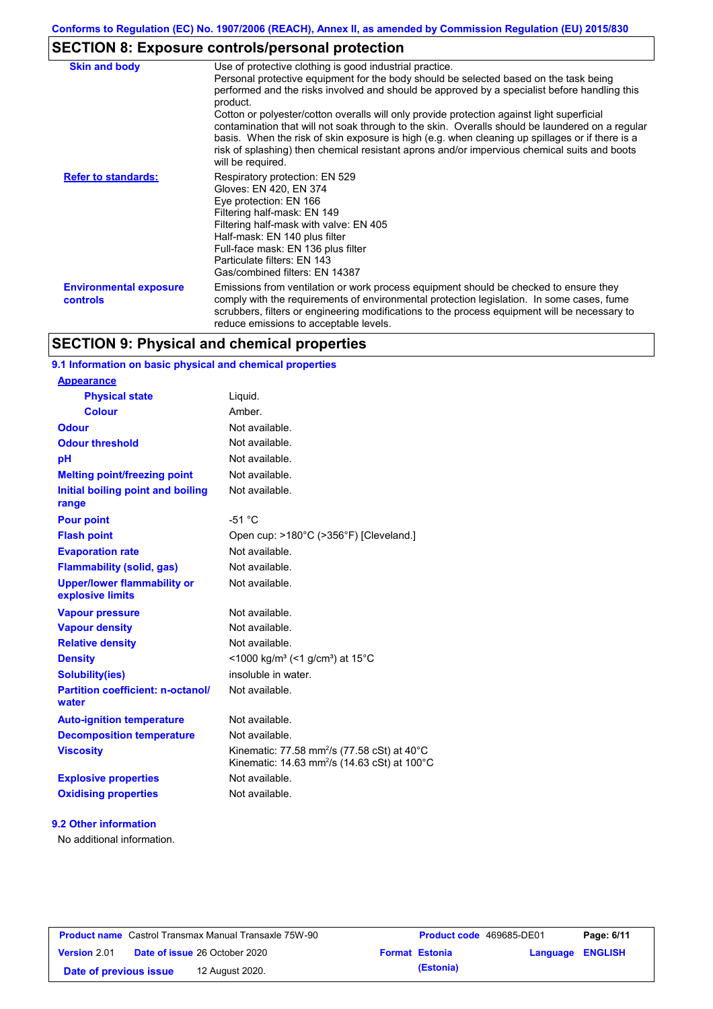# **SECTION 8: Exposure controls/personal protection**

| <b>Skin and body</b>                             | Use of protective clothing is good industrial practice.                                                                                                                                                                                                                                                                                                                                                                                                                                                                                                                                                                    |
|--------------------------------------------------|----------------------------------------------------------------------------------------------------------------------------------------------------------------------------------------------------------------------------------------------------------------------------------------------------------------------------------------------------------------------------------------------------------------------------------------------------------------------------------------------------------------------------------------------------------------------------------------------------------------------------|
|                                                  | Personal protective equipment for the body should be selected based on the task being<br>performed and the risks involved and should be approved by a specialist before handling this<br>product.<br>Cotton or polyester/cotton overalls will only provide protection against light superficial<br>contamination that will not soak through to the skin. Overalls should be laundered on a regular<br>basis. When the risk of skin exposure is high (e.g. when cleaning up spillages or if there is a<br>risk of splashing) then chemical resistant aprons and/or impervious chemical suits and boots<br>will be required. |
| <b>Refer to standards:</b>                       | Respiratory protection: EN 529<br>Gloves: EN 420, EN 374<br>Eye protection: EN 166<br>Filtering half-mask: EN 149<br>Filtering half-mask with valve: EN 405<br>Half-mask: EN 140 plus filter<br>Full-face mask: EN 136 plus filter<br>Particulate filters: EN 143<br>Gas/combined filters: EN 14387                                                                                                                                                                                                                                                                                                                        |
| <b>Environmental exposure</b><br><b>controls</b> | Emissions from ventilation or work process equipment should be checked to ensure they<br>comply with the requirements of environmental protection legislation. In some cases, fume<br>scrubbers, filters or engineering modifications to the process equipment will be necessary to<br>reduce emissions to acceptable levels.                                                                                                                                                                                                                                                                                              |

# **SECTION 9: Physical and chemical properties**

### **9.1 Information on basic physical and chemical properties**

### **9.2 Other information**

No additional information.

| <b>Product name</b> Castrol Transmax Manual Transaxle 75W-90 |  |                                      | <b>Product code</b> 469685-DE01 |                  | Page: 6/11 |
|--------------------------------------------------------------|--|--------------------------------------|---------------------------------|------------------|------------|
| <b>Version 2.01</b>                                          |  | <b>Date of issue 26 October 2020</b> | <b>Format Estonia</b>           | Language ENGLISH |            |
| Date of previous issue                                       |  | 12 August 2020.                      | (Estonia)                       |                  |            |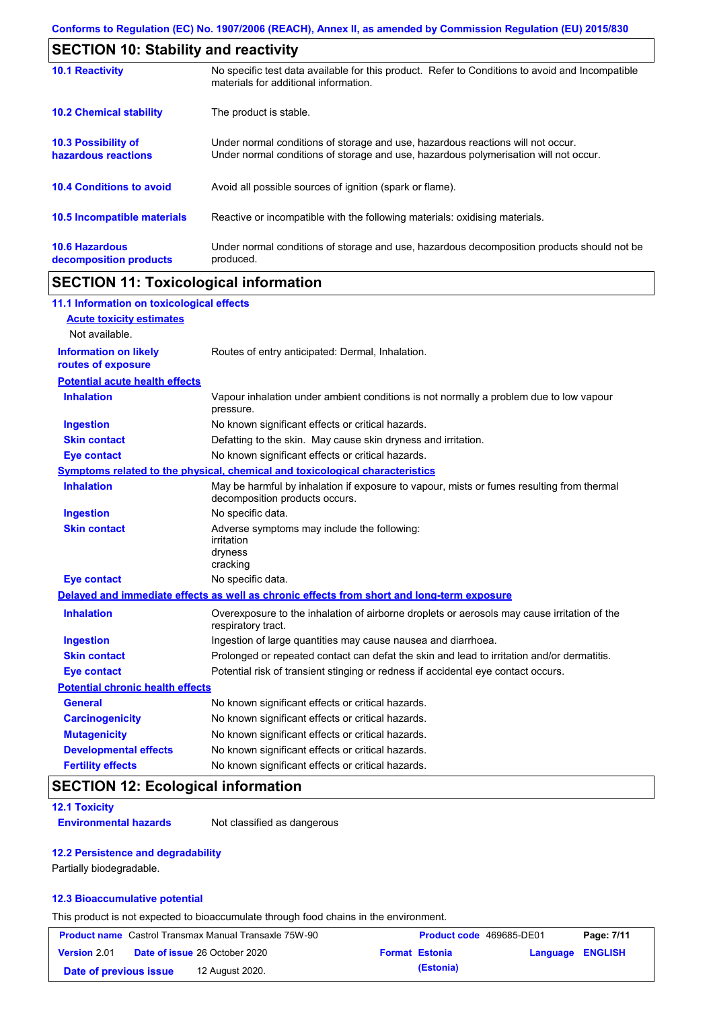| <b>SECTION 10: Stability and reactivity</b>       |                                                                                                                                                                         |  |  |
|---------------------------------------------------|-------------------------------------------------------------------------------------------------------------------------------------------------------------------------|--|--|
| <b>10.1 Reactivity</b>                            | No specific test data available for this product. Refer to Conditions to avoid and Incompatible<br>materials for additional information.                                |  |  |
| <b>10.2 Chemical stability</b>                    | The product is stable.                                                                                                                                                  |  |  |
| <b>10.3 Possibility of</b><br>hazardous reactions | Under normal conditions of storage and use, hazardous reactions will not occur.<br>Under normal conditions of storage and use, hazardous polymerisation will not occur. |  |  |
| <b>10.4 Conditions to avoid</b>                   | Avoid all possible sources of ignition (spark or flame).                                                                                                                |  |  |
| 10.5 Incompatible materials                       | Reactive or incompatible with the following materials: oxidising materials.                                                                                             |  |  |
| <b>10.6 Hazardous</b><br>decomposition products   | Under normal conditions of storage and use, hazardous decomposition products should not be<br>produced.                                                                 |  |  |

# **SECTION 11: Toxicological information**

| 11.1 Information on toxicological effects          |                                                                                                                             |
|----------------------------------------------------|-----------------------------------------------------------------------------------------------------------------------------|
| <b>Acute toxicity estimates</b>                    |                                                                                                                             |
| Not available.                                     |                                                                                                                             |
| <b>Information on likely</b><br>routes of exposure | Routes of entry anticipated: Dermal, Inhalation.                                                                            |
| <b>Potential acute health effects</b>              |                                                                                                                             |
| <b>Inhalation</b>                                  | Vapour inhalation under ambient conditions is not normally a problem due to low vapour<br>pressure.                         |
| <b>Ingestion</b>                                   | No known significant effects or critical hazards.                                                                           |
| <b>Skin contact</b>                                | Defatting to the skin. May cause skin dryness and irritation.                                                               |
| <b>Eye contact</b>                                 | No known significant effects or critical hazards.                                                                           |
|                                                    | Symptoms related to the physical, chemical and toxicological characteristics                                                |
| <b>Inhalation</b>                                  | May be harmful by inhalation if exposure to vapour, mists or fumes resulting from thermal<br>decomposition products occurs. |
| <b>Ingestion</b>                                   | No specific data.                                                                                                           |
| <b>Skin contact</b>                                | Adverse symptoms may include the following:<br>irritation<br>dryness<br>cracking                                            |
| <b>Eye contact</b>                                 | No specific data.                                                                                                           |
|                                                    | Delayed and immediate effects as well as chronic effects from short and long-term exposure                                  |
| <b>Inhalation</b>                                  | Overexposure to the inhalation of airborne droplets or aerosols may cause irritation of the<br>respiratory tract.           |
| <b>Ingestion</b>                                   | Ingestion of large quantities may cause nausea and diarrhoea.                                                               |
| <b>Skin contact</b>                                | Prolonged or repeated contact can defat the skin and lead to irritation and/or dermatitis.                                  |
| <b>Eye contact</b>                                 | Potential risk of transient stinging or redness if accidental eye contact occurs.                                           |
| <b>Potential chronic health effects</b>            |                                                                                                                             |
| <b>General</b>                                     | No known significant effects or critical hazards.                                                                           |
| <b>Carcinogenicity</b>                             | No known significant effects or critical hazards.                                                                           |
| <b>Mutagenicity</b>                                | No known significant effects or critical hazards.                                                                           |
| <b>Developmental effects</b>                       | No known significant effects or critical hazards.                                                                           |
| <b>Fertility effects</b>                           | No known significant effects or critical hazards.                                                                           |

# **SECTION 12: Ecological information**

### **12.1 Toxicity**

**Environmental hazards** Not classified as dangerous

### **12.2 Persistence and degradability**

Partially biodegradable.

### **12.3 Bioaccumulative potential**

This product is not expected to bioaccumulate through food chains in the environment.

|                        | <b>Product name</b> Castrol Transmax Manual Transaxle 75W-90 | Product code 469685-DE01 |                  | Page: 7/11 |
|------------------------|--------------------------------------------------------------|--------------------------|------------------|------------|
| <b>Version 2.01</b>    | <b>Date of issue 26 October 2020</b>                         | <b>Format Estonia</b>    | Language ENGLISH |            |
| Date of previous issue | 12 August 2020.                                              | (Estonia)                |                  |            |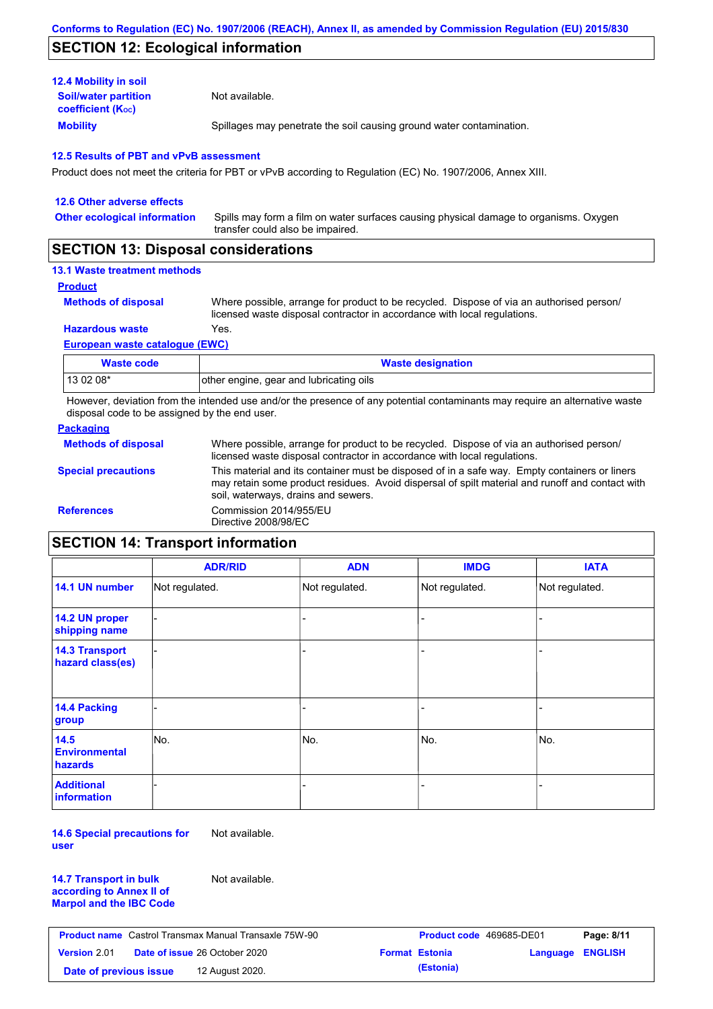# **SECTION 12: Ecological information**

| <b>12.4 Mobility in soil</b>                            |                                                                      |
|---------------------------------------------------------|----------------------------------------------------------------------|
| <b>Soil/water partition</b><br><b>coefficient (Koc)</b> | Not available.                                                       |
| <b>Mobility</b>                                         | Spillages may penetrate the soil causing ground water contamination. |

### **12.5 Results of PBT and vPvB assessment**

Product does not meet the criteria for PBT or vPvB according to Regulation (EC) No. 1907/2006, Annex XIII.

| 12.6 Other adverse effects          |                                                                                                                           |
|-------------------------------------|---------------------------------------------------------------------------------------------------------------------------|
| <b>Other ecological information</b> | Spills may form a film on water surfaces causing physical damage to organisms. Oxygen<br>transfer could also be impaired. |
|                                     |                                                                                                                           |

## **SECTION 13: Disposal considerations**

### **13.1 Waste treatment methods**

**Product**

**Methods of disposal**

Where possible, arrange for product to be recycled. Dispose of via an authorised person/ licensed waste disposal contractor in accordance with local regulations.

**Hazardous waste** Yes.

#### **European waste catalogue (EWC)**

| Waste code | <b>Waste designation</b>                |
|------------|-----------------------------------------|
| 13 02 08*  | other engine, gear and lubricating oils |

However, deviation from the intended use and/or the presence of any potential contaminants may require an alternative waste disposal code to be assigned by the end user.

### **Packaging**

| <b>Methods of disposal</b> | Where possible, arrange for product to be recycled. Dispose of via an authorised person/<br>licensed waste disposal contractor in accordance with local regulations.                                                                    |
|----------------------------|-----------------------------------------------------------------------------------------------------------------------------------------------------------------------------------------------------------------------------------------|
| <b>Special precautions</b> | This material and its container must be disposed of in a safe way. Empty containers or liners<br>may retain some product residues. Avoid dispersal of spilt material and runoff and contact with<br>soil, waterways, drains and sewers. |
| <b>References</b>          | Commission 2014/955/EU<br>Directive 2008/98/EC                                                                                                                                                                                          |

# **SECTION 14: Transport information**

|                                           | <b>ADR/RID</b> | <b>ADN</b>     | <b>IMDG</b>    | <b>IATA</b>    |
|-------------------------------------------|----------------|----------------|----------------|----------------|
| 14.1 UN number                            | Not regulated. | Not regulated. | Not regulated. | Not regulated. |
| 14.2 UN proper<br>shipping name           |                |                | -              |                |
| <b>14.3 Transport</b><br>hazard class(es) |                |                |                |                |
| 14.4 Packing<br>group                     |                |                |                |                |
| 14.5<br><b>Environmental</b><br>hazards   | No.            | No.            | No.            | No.            |
| <b>Additional</b><br><b>information</b>   |                |                |                |                |

**14.6 Special precautions for user** Not available.

**14.7 Transport in bulk according to Annex II of Marpol and the IBC Code** Not available.

|                        | <b>Product name</b> Castrol Transmax Manual Transaxle 75W-90 | <b>Product code</b> 469685-DE01 |                  | Page: 8/11 |
|------------------------|--------------------------------------------------------------|---------------------------------|------------------|------------|
| Version 2.01           | <b>Date of issue 26 October 2020</b>                         | <b>Format Estonia</b>           | Language ENGLISH |            |
| Date of previous issue | 12 August 2020.                                              | (Estonia)                       |                  |            |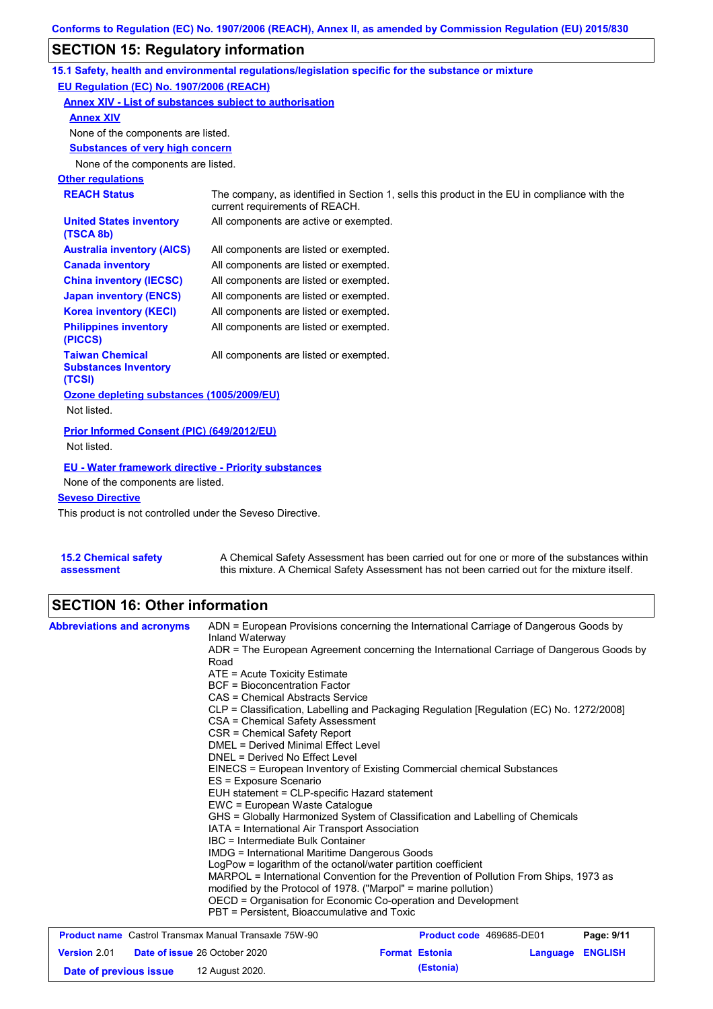# **SECTION 15: Regulatory information**

|                                                                  | 15.1 Safety, health and environmental regulations/legislation specific for the substance or mixture                            |
|------------------------------------------------------------------|--------------------------------------------------------------------------------------------------------------------------------|
| EU Regulation (EC) No. 1907/2006 (REACH)                         |                                                                                                                                |
| Annex XIV - List of substances subject to authorisation          |                                                                                                                                |
| <b>Annex XIV</b>                                                 |                                                                                                                                |
| None of the components are listed.                               |                                                                                                                                |
| <b>Substances of very high concern</b>                           |                                                                                                                                |
| None of the components are listed.                               |                                                                                                                                |
| <b>Other regulations</b>                                         |                                                                                                                                |
| <b>REACH Status</b>                                              | The company, as identified in Section 1, sells this product in the EU in compliance with the<br>current requirements of REACH. |
| <b>United States inventory</b><br>(TSCA 8b)                      | All components are active or exempted.                                                                                         |
| <b>Australia inventory (AICS)</b>                                | All components are listed or exempted.                                                                                         |
| <b>Canada inventory</b>                                          | All components are listed or exempted.                                                                                         |
| <b>China inventory (IECSC)</b>                                   | All components are listed or exempted.                                                                                         |
| <b>Japan inventory (ENCS)</b>                                    | All components are listed or exempted.                                                                                         |
| <b>Korea inventory (KECI)</b>                                    | All components are listed or exempted.                                                                                         |
| <b>Philippines inventory</b><br>(PICCS)                          | All components are listed or exempted.                                                                                         |
| <b>Taiwan Chemical</b><br><b>Substances Inventory</b><br>(TCSI)  | All components are listed or exempted.                                                                                         |
| Ozone depleting substances (1005/2009/EU)<br>Not listed.         |                                                                                                                                |
| <b>Prior Informed Consent (PIC) (649/2012/EU)</b><br>Not listed. |                                                                                                                                |
| <b>EU - Water framework directive - Priority substances</b>      |                                                                                                                                |
| None of the components are listed.                               |                                                                                                                                |
| <b>Seveso Directive</b>                                          |                                                                                                                                |

This product is not controlled under the Seveso Directive.

| <b>15.2 Chemical safety</b> | A Chemical Safety Assessment has been carried out for one or more of the substances within  |
|-----------------------------|---------------------------------------------------------------------------------------------|
| assessment                  | this mixture. A Chemical Safety Assessment has not been carried out for the mixture itself. |

# **SECTION 16: Other information**

| <b>Abbreviations and acronyms</b>                            | ADN = European Provisions concerning the International Carriage of Dangerous Goods by<br>Inland Waterway                                                                                                                                                                                   |                          |                         |            |  |
|--------------------------------------------------------------|--------------------------------------------------------------------------------------------------------------------------------------------------------------------------------------------------------------------------------------------------------------------------------------------|--------------------------|-------------------------|------------|--|
|                                                              | ADR = The European Agreement concerning the International Carriage of Dangerous Goods by<br>Road                                                                                                                                                                                           |                          |                         |            |  |
|                                                              | $ATE = Acute Toxicity Estimate$                                                                                                                                                                                                                                                            |                          |                         |            |  |
|                                                              | <b>BCF</b> = Bioconcentration Factor                                                                                                                                                                                                                                                       |                          |                         |            |  |
|                                                              | CAS = Chemical Abstracts Service                                                                                                                                                                                                                                                           |                          |                         |            |  |
|                                                              | CLP = Classification, Labelling and Packaging Regulation [Regulation (EC) No. 1272/2008]                                                                                                                                                                                                   |                          |                         |            |  |
|                                                              | CSA = Chemical Safety Assessment                                                                                                                                                                                                                                                           |                          |                         |            |  |
|                                                              | CSR = Chemical Safety Report                                                                                                                                                                                                                                                               |                          |                         |            |  |
|                                                              | DMEL = Derived Minimal Effect Level                                                                                                                                                                                                                                                        |                          |                         |            |  |
|                                                              | DNEL = Derived No Effect Level<br>EINECS = European Inventory of Existing Commercial chemical Substances<br>ES = Exposure Scenario<br>EUH statement = CLP-specific Hazard statement<br>EWC = European Waste Catalogue                                                                      |                          |                         |            |  |
|                                                              |                                                                                                                                                                                                                                                                                            |                          |                         |            |  |
|                                                              |                                                                                                                                                                                                                                                                                            |                          |                         |            |  |
|                                                              |                                                                                                                                                                                                                                                                                            |                          |                         |            |  |
|                                                              |                                                                                                                                                                                                                                                                                            |                          |                         |            |  |
|                                                              | GHS = Globally Harmonized System of Classification and Labelling of Chemicals                                                                                                                                                                                                              |                          |                         |            |  |
|                                                              | IATA = International Air Transport Association                                                                                                                                                                                                                                             |                          |                         |            |  |
|                                                              | IBC = Intermediate Bulk Container                                                                                                                                                                                                                                                          |                          |                         |            |  |
|                                                              | <b>IMDG = International Maritime Dangerous Goods</b>                                                                                                                                                                                                                                       |                          |                         |            |  |
|                                                              | LogPow = logarithm of the octanol/water partition coefficient<br>MARPOL = International Convention for the Prevention of Pollution From Ships, 1973 as<br>modified by the Protocol of 1978. ("Marpol" = marine pollution)<br>OECD = Organisation for Economic Co-operation and Development |                          |                         |            |  |
|                                                              |                                                                                                                                                                                                                                                                                            |                          |                         |            |  |
|                                                              |                                                                                                                                                                                                                                                                                            |                          |                         |            |  |
|                                                              |                                                                                                                                                                                                                                                                                            |                          |                         |            |  |
|                                                              | PBT = Persistent, Bioaccumulative and Toxic                                                                                                                                                                                                                                                |                          |                         |            |  |
| <b>Product name</b> Castrol Transmax Manual Transaxle 75W-90 |                                                                                                                                                                                                                                                                                            | Product code 469685-DE01 |                         | Page: 9/11 |  |
| <b>Version 2.01</b>                                          | Date of issue 26 October 2020                                                                                                                                                                                                                                                              | <b>Format Estonia</b>    | <b>Language ENGLISH</b> |            |  |

**Date of previous issue (Estonia)** 12 August 2020.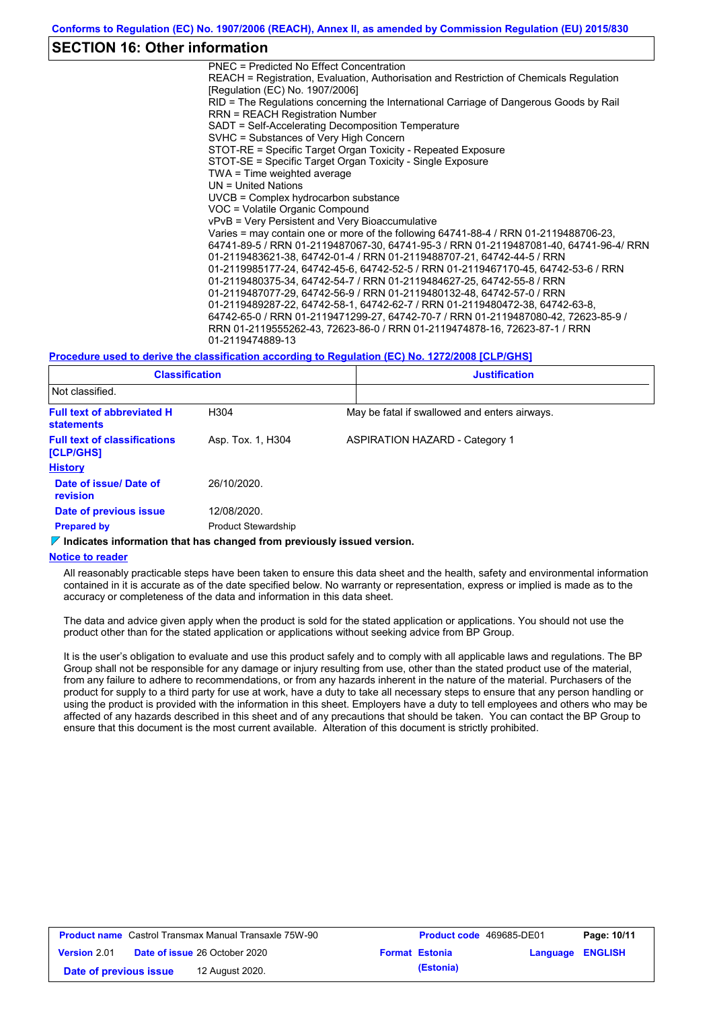### **SECTION 16: Other information**

PNEC = Predicted No Effect Concentration REACH = Registration, Evaluation, Authorisation and Restriction of Chemicals Regulation [Regulation (EC) No. 1907/2006] RID = The Regulations concerning the International Carriage of Dangerous Goods by Rail RRN = REACH Registration Number SADT = Self-Accelerating Decomposition Temperature SVHC = Substances of Very High Concern STOT-RE = Specific Target Organ Toxicity - Repeated Exposure STOT-SE = Specific Target Organ Toxicity - Single Exposure TWA = Time weighted average UN = United Nations UVCB = Complex hydrocarbon substance VOC = Volatile Organic Compound vPvB = Very Persistent and Very Bioaccumulative Varies = may contain one or more of the following 64741-88-4 / RRN 01-2119488706-23, 64741-89-5 / RRN 01-2119487067-30, 64741-95-3 / RRN 01-2119487081-40, 64741-96-4/ RRN 01-2119483621-38, 64742-01-4 / RRN 01-2119488707-21, 64742-44-5 / RRN 01-2119985177-24, 64742-45-6, 64742-52-5 / RRN 01-2119467170-45, 64742-53-6 / RRN 01-2119480375-34, 64742-54-7 / RRN 01-2119484627-25, 64742-55-8 / RRN 01-2119487077-29, 64742-56-9 / RRN 01-2119480132-48, 64742-57-0 / RRN 01-2119489287-22, 64742-58-1, 64742-62-7 / RRN 01-2119480472-38, 64742-63-8, 64742-65-0 / RRN 01-2119471299-27, 64742-70-7 / RRN 01-2119487080-42, 72623-85-9 / RRN 01-2119555262-43, 72623-86-0 / RRN 01-2119474878-16, 72623-87-1 / RRN 01-2119474889-13

#### **Procedure used to derive the classification according to Regulation (EC) No. 1272/2008 [CLP/GHS]**

| <b>Classification</b>                                  |                            | <b>Justification</b>                          |
|--------------------------------------------------------|----------------------------|-----------------------------------------------|
| Not classified.                                        |                            |                                               |
| <b>Full text of abbreviated H</b><br><b>statements</b> | H304                       | May be fatal if swallowed and enters airways. |
| <b>Full text of classifications</b><br>[CLP/GHS]       | Asp. Tox. 1, H304          | <b>ASPIRATION HAZARD - Category 1</b>         |
| <b>History</b>                                         |                            |                                               |
| Date of issue/ Date of<br>revision                     | 26/10/2020.                |                                               |
| Date of previous issue                                 | 12/08/2020.                |                                               |
| <b>Prepared by</b>                                     | <b>Product Stewardship</b> |                                               |

#### **Indicates information that has changed from previously issued version.**

#### **Notice to reader**

All reasonably practicable steps have been taken to ensure this data sheet and the health, safety and environmental information contained in it is accurate as of the date specified below. No warranty or representation, express or implied is made as to the accuracy or completeness of the data and information in this data sheet.

The data and advice given apply when the product is sold for the stated application or applications. You should not use the product other than for the stated application or applications without seeking advice from BP Group.

It is the user's obligation to evaluate and use this product safely and to comply with all applicable laws and regulations. The BP Group shall not be responsible for any damage or injury resulting from use, other than the stated product use of the material, from any failure to adhere to recommendations, or from any hazards inherent in the nature of the material. Purchasers of the product for supply to a third party for use at work, have a duty to take all necessary steps to ensure that any person handling or using the product is provided with the information in this sheet. Employers have a duty to tell employees and others who may be affected of any hazards described in this sheet and of any precautions that should be taken. You can contact the BP Group to ensure that this document is the most current available. Alteration of this document is strictly prohibited.

| <b>Product name</b> Castrol Transmax Manual Transaxle 75W-90 |  | <b>Product code</b> 469685-DE01      |  | Page: 10/11           |                         |  |
|--------------------------------------------------------------|--|--------------------------------------|--|-----------------------|-------------------------|--|
| <b>Version 2.01</b>                                          |  | <b>Date of issue 26 October 2020</b> |  | <b>Format Estonia</b> | <b>Language ENGLISH</b> |  |
| Date of previous issue                                       |  | 12 August 2020.                      |  | (Estonia)             |                         |  |